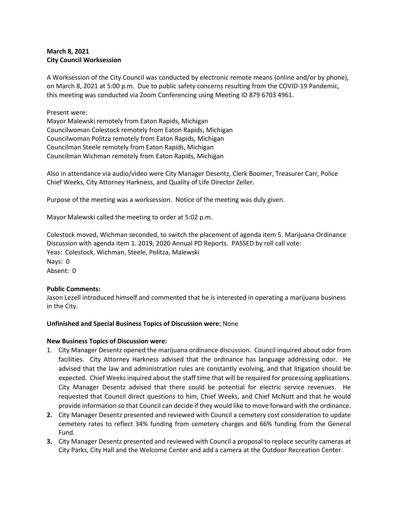# **March 8, 2021 City Council Worksession**

A Worksession of the City Council was conducted by electronic remote means (online and/or by phone), on March 8, 2021 at 5:00 p.m. Due to public safety concerns resulting from the COVID-19 Pandemic, this meeting was conducted via Zoom Conferencing using Meeting ID 879 6703 4961.

## Present were:

Mayor Malewski remotely from Eaton Rapids, Michigan Councilwoman Colestock remotely from Eaton Rapids, Michigan Councilwoman Politza remotely from Eaton Rapids, Michigan Councilman Steele remotely from Eaton Rapids, Michigan Councilman Wichman remotely from Eaton Rapids, Michigan

Also in attendance via audio/video were City Manager Desentz, Clerk Boomer, Treasurer Carr, Police Chief Weeks, City Attorney Harkness, and Quality of Life Director Zeller.

Purpose of the meeting was a worksession. Notice of the meeting was duly given.

Mayor Malewski called the meeting to order at 5:02 p.m.

Colestock moved, Wichman seconded, to switch the placement of agenda item 5. Marijuana Ordinance Discussion with agenda item 1. 2019, 2020 Annual PD Reports. PASSED by roll call vote: Yeas: Colestock, Wichman, Steele, Politza, Malewski Nays: 0 Absent: 0

## **Public Comments:**

Jason Lezell introduced himself and commented that he is interested in operating a marijuana business in the City.

## **Unfinished and Special Business Topics of Discussion were:** None

## **New Business Topics of Discussion were:**

- 1. City Manager Desentz opened the marijuana ordinance discussion. Council inquired about odor from facilities. City Attorney Harkness advised that the ordinance has language addressing odor. He advised that the law and administration rules are constantly evolving, and that litigation should be expected. Chief Weeks inquired about the staff time that will be required for processing applications. City Manager Desentz advised that there could be potential for electric service revenues. He requested that Council direct questions to him, Chief Weeks, and Chief McNutt and that he would provide information so that Council can decide if they would like to move forward with the ordinance.
- **2.** City Manager Desentz presented and reviewed with Council a cemetery cost consideration to update cemetery rates to reflect 34% funding from cemetery charges and 66% funding from the General Fund.
- **3.** City Manager Desentz presented and reviewed with Council a proposal to replace security cameras at City Parks, City Hall and the Welcome Center and add a camera at the Outdoor Recreation Center.